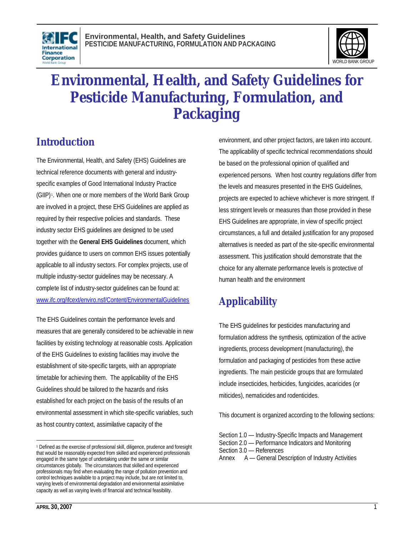



# **Environmental, Health, and Safety Guidelines for Pesticide Manufacturing, Formulation, and Packaging**

# **Introduction**

The Environmental, Health, and Safety (EHS) Guidelines are technical reference documents with general and industryspecific examples of Good International Industry Practice (GIIP)<sup>1</sup>. When one or more members of the World Bank Group are involved in a project, these EHS Guidelines are applied as required by their respective policies and standards. These industry sector EHS guidelines are designed to be used together with the **General EHS Guidelines** document, which provides guidance to users on common EHS issues potentially applicable to all industry sectors. For complex projects, use of multiple industry-sector guidelines may be necessary. A complete list of industry-sector guidelines can be found at: www.ifc.org/ifcext/enviro.nsf/Content/EnvironmentalGuidelines

The EHS Guidelines contain the performance levels and measures that are generally considered to be achievable in new facilities by existing technology at reasonable costs. Application of the EHS Guidelines to existing facilities may involve the establishment of site-specific targets, with an appropriate timetable for achieving them. The applicability of the EHS Guidelines should be tailored to the hazards and risks established for each project on the basis of the results of an environmental assessment in which site-specific variables, such as host country context, assimilative capacity of the

environment, and other project factors, are taken into account. The applicability of specific technical recommendations should be based on the professional opinion of qualified and experienced persons. When host country regulations differ from the levels and measures presented in the EHS Guidelines, projects are expected to achieve whichever is more stringent. If less stringent levels or measures than those provided in these EHS Guidelines are appropriate, in view of specific project circumstances, a full and detailed justification for any proposed alternatives is needed as part of the site-specific environmental assessment. This justification should demonstrate that the choice for any alternate performance levels is protective of human health and the environment

# **Applicability**

The EHS guidelines for pesticides manufacturing and formulation address the synthesis, optimization of the active ingredients, process development (manufacturing), the formulation and packaging of pesticides from these active ingredients. The main pesticide groups that are formulated include insecticides, herbicides, fungicides, acaricides (or miticides), nematicides and rodenticides.

This document is organized according to the following sections:

l <sup>1</sup> Defined as the exercise of professional skill, diligence, prudence and foresight that would be reasonably expected from skilled and experienced professionals engaged in the same type of undertaking under the same or similar circumstances globally. The circumstances that skilled and experienced professionals may find when evaluating the range of pollution prevention and control techniques available to a project may include, but are not limited to, varying levels of environmental degradation and environmental assimilative capacity as well as varying levels of financial and technical feasibility.

Section 1.0 — Industry-Specific Impacts and Management Section 2.0 — Performance Indicators and Monitoring

Section 3.0 — References

Annex A — General Description of Industry Activities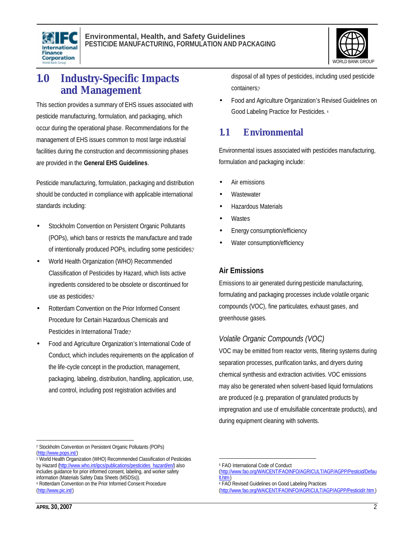



# **1.0 Industry-Specific Impacts and Management**

This section provides a summary of EHS issues associated with pesticide manufacturing, formulation, and packaging, which occur during the operational phase. Recommendations for the management of EHS issues common to most large industrial facilities during the construction and decommissioning phases are provided in the **General EHS Guidelines**.

Pesticide manufacturing, formulation, packaging and distribution should be conducted in compliance with applicable international standards including:

- Stockholm Convention on Persistent Organic Pollutants (POPs), which bans or restricts the manufacture and trade of intentionally produced POPs, including some pesticides;<sup>2</sup>
- World Health Organization (WHO) Recommended Classification of Pesticides by Hazard, which lists active ingredients considered to be obsolete or discontinued for use as pesticides;<sup>3</sup>
- Rotterdam Convention on the Prior Informed Consent Procedure for Certain Hazardous Chemicals and Pesticides in International Trade;<sup>4</sup>
- Food and Agriculture Organization's International Code of Conduct, which includes requirements on the application of the life-cycle concept in the production, management, packaging, labeling, distribution, handling, application, use, and control, including post registration activities and

disposal of all types of pesticides, including used pesticide containers; 5

• Food and Agriculture Organization's Revised Guidelines on Good Labeling Practice for Pesticides. 6

# **1.1 Environmental**

Environmental issues associated with pesticides manufacturing, formulation and packaging include:

- Air emissions
- **Wastewater**
- Hazardous Materials
- **Wastes**
- Energy consumption/efficiency
- Water consumption/efficiency

# **Air Emissions**

Emissions to air generated during pesticide manufacturing, formulating and packaging processes include volatile organic compounds (VOC), fine particulates, exhaust gases, and greenhouse gases.

# *Volatile Organic Compounds (VOC)*

VOC may be emitted from reactor vents, filtering systems during separation processes, purification tanks, and dryers during chemical synthesis and extraction activities. VOC emissions may also be generated when solvent-based liquid formulations are produced (e.g. preparation of granulated products by impregnation and use of emulsifiable concentrate products), and during equipment cleaning with solvents.

<u>.</u>

l <sup>2</sup> Stockholm Convention on Persistent Organic Pollutants (POPs) (http://www.pops.int/)

<sup>&</sup>lt;sup>3</sup> World Health Organization (WHO) Recommended Classification of Pesticides by Hazard (http://www.who.int/ipcs/publications/pesticides\_hazard/en/) also includes guidance for prior informed consent, labeling, and worker safety information (Materials Safety Data Sheets (MSDSs)).

<sup>4</sup> Rotterdam Convention on the Prior Informed Consent Procedure (http://www.pic.int/)

<sup>5</sup> FAO International Code of Conduct

<sup>(</sup>http://www.fao.org/WAICENT/FAOINFO/AGRICULT/AGP/AGPP/Pesticid/Defau lt.htm)

<sup>6</sup> FAO Revised Guidelines on Good Labeling Practices

<sup>(</sup>http://www.fao.org/WAICENT/FAOINFO/AGRICULT/AGP/AGPP/Pesticid/r.htm)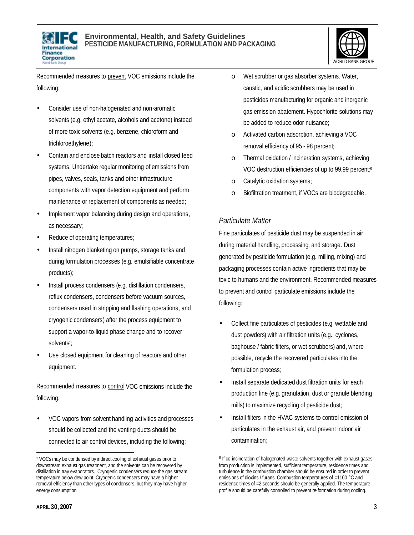



Recommended measures to prevent VOC emissions include the following:

- Consider use of non-halogenated and non-aromatic solvents (e.g. ethyl acetate, alcohols and acetone) instead of more toxic solvents (e.g. benzene, chloroform and trichloroethylene);
- Contain and enclose batch reactors and install closed feed systems. Undertake regular monitoring of emissions from pipes, valves, seals, tanks and other infrastructure components with vapor detection equipment and perform maintenance or replacement of components as needed;
- Implement vapor balancing during design and operations, as necessary;
- Reduce of operating temperatures;
- Install nitrogen blanketing on pumps, storage tanks and during formulation processes (e.g. emulsifiable concentrate products);
- Install process condensers (e.g. distillation condensers, reflux condensers, condensers before vacuum sources, condensers used in stripping and flashing operations, and cryogenic condensers) after the process equipment to support a vapor-to-liquid phase change and to recover solvents<sup>7</sup>;
- Use closed equipment for cleaning of reactors and other equipment.

Recommended measures to control VOC emissions include the following:

• VOC vapors from solvent handling activities and processes should be collected and the venting ducts should be connected to air control devices, including the following:

- o Wet scrubber or gas absorber systems. Water, caustic, and acidic scrubbers may be used in pesticides manufacturing for organic and inorganic gas emission abatement. Hypochlorite solutions may be added to reduce odor nuisance;
- o Activated carbon adsorption, achieving a VOC removal efficiency of 95 - 98 percent;
- o Thermal oxidation / incineration systems, achieving VOC destruction efficiencies of up to 99.99 percent; 8
- o Catalytic oxidation systems;
- o Biofiltration treatment, if VOCs are biodegradable.

### *Particulate Matter*

1

Fine particulates of pesticide dust may be suspended in air during material handling, processing, and storage. Dust generated by pesticide formulation (e.g. milling, mixing) and packaging processes contain active ingredients that may be toxic to humans and the environment. Recommended measures to prevent and control particulate emissions include the following:

- Collect fine particulates of pesticides (e.g. wettable and dust powders) with air filtration units (e.g., cyclones, baghouse / fabric filters, or wet scrubbers) and, where possible, recycle the recovered particulates into the formulation process;
- Install separate dedicated dust filtration units for each production line (e.g. granulation, dust or granule blending mills) to maximize recycling of pesticide dust;
- Install filters in the HVAC systems to control emission of particulates in the exhaust air, and prevent indoor air contamination;

 $\overline{a}$ 

<sup>&</sup>lt;sup>7</sup> VOCs may be condensed by indirect cooling of exhaust gases prior to downstream exhaust gas treatment, and the solvents can be recovered by distillation in tray evaporators. Cryogenic condensers reduce the gas stream temperature below dew point. Cryogenic condensers may have a higher removal efficiency than other types of condensers, but they may have higher energy consumption

<sup>&</sup>lt;sup>8</sup> If co-incineration of halogenated waste solvents together with exhaust gases from production is implemented, sufficient temperature, residence times and turbulence in the combustion chamber should be ensured in order to prevent emissions of dioxins / furans. Combustion temperatures of =1100 °C and residence times of =2 seconds should be generally applied. The temperature profile should be carefully controlled to prevent re-formation during cooling.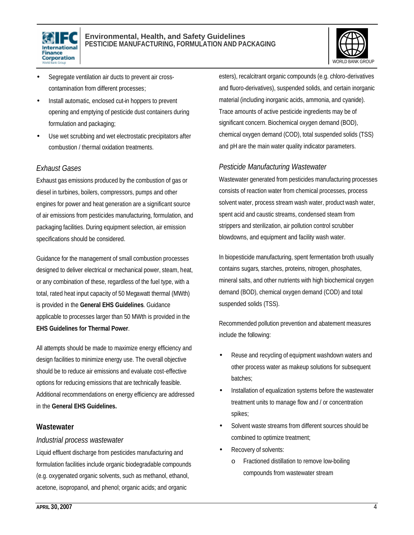



- Segregate ventilation air ducts to prevent air crosscontamination from different processes;
- Install automatic, enclosed cut-in hoppers to prevent opening and emptying of pesticide dust containers during formulation and packaging;
- Use wet scrubbing and wet electrostatic precipitators after combustion / thermal oxidation treatments.

#### *Exhaust Gases*

Exhaust gas emissions produced by the combustion of gas or diesel in turbines, boilers, compressors, pumps and other engines for power and heat generation are a significant source of air emissions from pesticides manufacturing, formulation, and packaging facilities. During equipment selection, air emission specifications should be considered.

Guidance for the management of small combustion processes designed to deliver electrical or mechanical power, steam, heat, or any combination of these, regardless of the fuel type, with a total, rated heat input capacity of 50 Megawatt thermal (MWth) is provided in the **General EHS Guidelines**. Guidance applicable to processes larger than 50 MWth is provided in the **EHS Guidelines for Thermal Power**.

All attempts should be made to maximize energy efficiency and design facilities to minimize energy use. The overall objective should be to reduce air emissions and evaluate cost-effective options for reducing emissions that are technically feasible. Additional recommendations on energy efficiency are addressed in the **General EHS Guidelines.**

#### **Wastewater**

#### *Industrial process wastewater*

Liquid effluent discharge from pesticides manufacturing and formulation facilities include organic biodegradable compounds (e.g. oxygenated organic solvents, such as methanol, ethanol, acetone, isopropanol, and phenol; organic acids; and organic

esters), recalcitrant organic compounds (e.g. chloro-derivatives and fluoro-derivatives), suspended solids, and certain inorganic material (including inorganic acids, ammonia, and cyanide). Trace amounts of active pesticide ingredients may be of significant concern. Biochemical oxygen demand (BOD), chemical oxygen demand (COD), total suspended solids (TSS) and pH are the main water quality indicator parameters.

#### *Pesticide Manufacturing Wastewater*

Wastewater generated from pesticides manufacturing processes consists of reaction water from chemical processes, process solvent water, process stream wash water, product wash water, spent acid and caustic streams, condensed steam from strippers and sterilization, air pollution control scrubber blowdowns, and equipment and facility wash water.

In biopesticide manufacturing, spent fermentation broth usually contains sugars, starches, proteins, nitrogen, phosphates, mineral salts, and other nutrients with high biochemical oxygen demand (BOD), chemical oxygen demand (COD) and total suspended solids (TSS).

Recommended pollution prevention and abatement measures include the following:

- Reuse and recycling of equipment washdown waters and other process water as makeup solutions for subsequent batches;
- Installation of equalization systems before the wastewater treatment units to manage flow and / or concentration spikes;
- Solvent waste streams from different sources should be combined to optimize treatment;
- Recovery of solvents:
	- o Fractioned distillation to remove low-boiling compounds from wastewater stream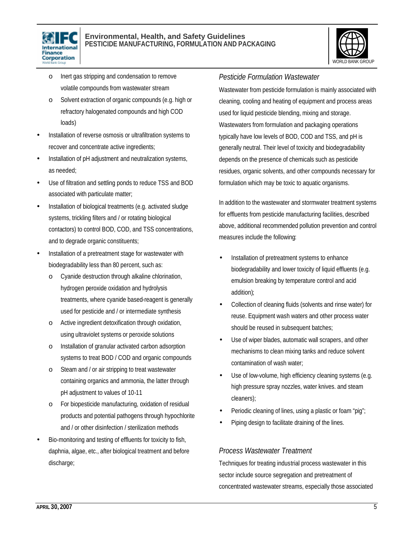



- o Inert gas stripping and condensation to remove volatile compounds from wastewater stream
- o Solvent extraction of organic compounds (e.g. high or refractory halogenated compounds and high COD loads)
- Installation of reverse osmosis or ultrafiltration systems to recover and concentrate active ingredients;
- Installation of pH adjustment and neutralization systems, as needed;
- Use of filtration and settling ponds to reduce TSS and BOD associated with particulate matter;
- Installation of biological treatments (e.g. activated sludge systems, trickling filters and / or rotating biological contactors) to control BOD, COD, and TSS concentrations, and to degrade organic constituents;
- Installation of a pretreatment stage for wastewater with biodegradability less than 80 percent, such as:
	- o Cyanide destruction through alkaline chlorination, hydrogen peroxide oxidation and hydrolysis treatments, where cyanide based-reagent is generally used for pesticide and / or intermediate synthesis
	- o Active ingredient detoxification through oxidation, using ultraviolet systems or peroxide solutions
	- o Installation of granular activated carbon adsorption systems to treat BOD / COD and organic compounds
	- o Steam and / or air stripping to treat wastewater containing organics and ammonia, the latter through pH adjustment to values of 10-11
	- o For biopesticide manufacturing, oxidation of residual products and potential pathogens through hypochlorite and / or other disinfection / sterilization methods
- Bio-monitoring and testing of effluents for toxicity to fish, daphnia, algae, etc., after biological treatment and before discharge;

### *Pesticide Formulation Wastewater*

Wastewater from pesticide formulation is mainly associated with cleaning, cooling and heating of equipment and process areas used for liquid pesticide blending, mixing and storage. Wastewaters from formulation and packaging operations typically have low levels of BOD, COD and TSS, and pH is generally neutral. Their level of toxicity and biodegradability depends on the presence of chemicals such as pesticide residues, organic solvents, and other compounds necessary for formulation which may be toxic to aquatic organisms.

In addition to the wastewater and stormwater treatment systems for effluents from pesticide manufacturing facilities, described above, additional recommended pollution prevention and control measures include the following:

- Installation of pretreatment systems to enhance biodegradability and lower toxicity of liquid effluents (e.g. emulsion breaking by temperature control and acid addition);
- Collection of cleaning fluids (solvents and rinse water) for reuse. Equipment wash waters and other process water should be reused in subsequent batches;
- Use of wiper blades, automatic wall scrapers, and other mechanisms to clean mixing tanks and reduce solvent contamination of wash water;
- Use of low-volume, high efficiency cleaning systems (e.g. high pressure spray nozzles, water knives. and steam cleaners);
- Periodic cleaning of lines, using a plastic or foam "pig";
- Piping design to facilitate draining of the lines.

# *Process Wastewater Treatment*

Techniques for treating industrial process wastewater in this sector include source segregation and pretreatment of concentrated wastewater streams, especially those associated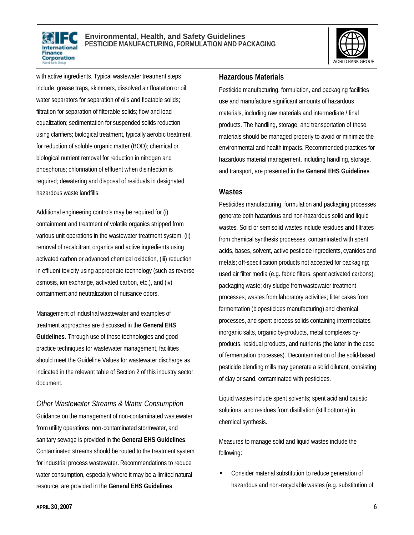



with active ingredients. Typical wastewater treatment steps include: grease traps, skimmers, dissolved air floatation or oil water separators for separation of oils and floatable solids; filtration for separation of filterable solids; flow and load equalization; sedimentation for suspended solids reduction using clarifiers; biological treatment, typically aerobic treatment, for reduction of soluble organic matter (BOD); chemical or biological nutrient removal for reduction in nitrogen and phosphorus; chlorination of effluent when disinfection is required; dewatering and disposal of residuals in designated hazardous waste landfills.

Additional engineering controls may be required for (i) containment and treatment of volatile organics stripped from various unit operations in the wastewater treatment system, (ii) removal of recalcitrant organics and active ingredients using activated carbon or advanced chemical oxidation, (iii) reduction in effluent toxicity using appropriate technology (such as reverse osmosis, ion exchange, activated carbon, etc.), and (iv) containment and neutralization of nuisance odors.

Management of industrial wastewater and examples of treatment approaches are discussed in the **General EHS Guidelines**. Through use of these technologies and good practice techniques for wastewater management, facilities should meet the Guideline Values for wastewater discharge as indicated in the relevant table of Section 2 of this industry sector document.

*Other Wastewater Streams & Water Consumption* Guidance on the management of non-contaminated wastewater from utility operations, non-contaminated stormwater, and sanitary sewage is provided in the **General EHS Guidelines**. Contaminated streams should be routed to the treatment system for industrial process wastewater. Recommendations to reduce water consumption, especially where it may be a limited natural resource, are provided in the **General EHS Guidelines**.

#### **Hazardous Materials**

Pesticide manufacturing, formulation, and packaging facilities use and manufacture significant amounts of hazardous materials, including raw materials and intermediate / final products. The handling, storage, and transportation of these materials should be managed properly to avoid or minimize the environmental and health impacts. Recommended practices for hazardous material management, including handling, storage, and transport, are presented in the **General EHS Guidelines**.

#### **Wastes**

Pesticides manufacturing, formulation and packaging processes generate both hazardous and non-hazardous solid and liquid wastes. Solid or semisolid wastes include residues and filtrates from chemical synthesis processes, contaminated with spent acids, bases, solvent, active pesticide ingredients, cyanides and metals; off-specification products not accepted for packaging; used air filter media (e.g. fabric filters, spent activated carbons); packaging waste; dry sludge from wastewater treatment processes; wastes from laboratory activities; filter cakes from fermentation (biopesticides manufacturing) and chemical processes, and spent process solids containing intermediates, inorganic salts, organic by-products, metal complexes byproducts, residual products, and nutrients (the latter in the case of fermentation processes). Decontamination of the solid-based pesticide blending mills may generate a solid dilutant, consisting of clay or sand, contaminated with pesticides.

Liquid wastes include spent solvents; spent acid and caustic solutions; and residues from distillation (still bottoms) in chemical synthesis.

Measures to manage solid and liquid wastes include the following:

• Consider material substitution to reduce generation of hazardous and non-recyclable wastes (e.g. substitution of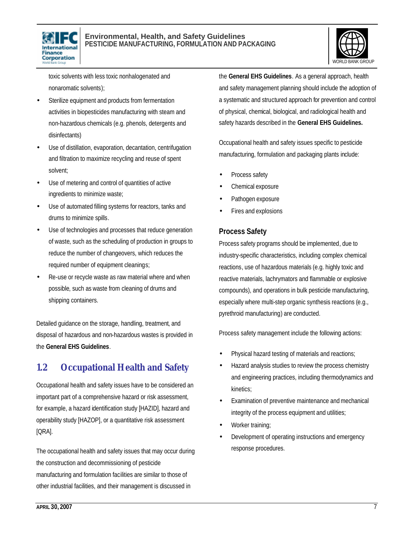# International Finance Corporation

#### **Environmental, Health, and Safety Guidelines PESTICIDE MANUFACTURING, FORMULATION AND PACKAGING**



toxic solvents with less toxic nonhalogenated and nonaromatic solvents);

- Sterilize equipment and products from fermentation activities in biopesticides manufacturing with steam and non-hazardous chemicals (e.g. phenols, detergents and disinfectants)
- Use of distillation, evaporation, decantation, centrifugation and filtration to maximize recycling and reuse of spent solvent;
- Use of metering and control of quantities of active ingredients to minimize waste;
- Use of automated filling systems for reactors, tanks and drums to minimize spills.
- Use of technologies and processes that reduce generation of waste, such as the scheduling of production in groups to reduce the number of changeovers, which reduces the required number of equipment cleanings;
- Re-use or recycle waste as raw material where and when possible, such as waste from cleaning of drums and shipping containers.

Detailed guidance on the storage, handling, treatment, and disposal of hazardous and non-hazardous wastes is provided in the **General EHS Guidelines**.

# **1.2 Occupational Health and Safety**

Occupational health and safety issues have to be considered an important part of a comprehensive hazard or risk assessment, for example, a hazard identification study [HAZID], hazard and operability study [HAZOP], or a quantitative risk assessment [QRA].

The occupational health and safety issues that may occur during the construction and decommissioning of pesticide manufacturing and formulation facilities are similar to those of other industrial facilities, and their management is discussed in

the **General EHS Guidelines**. As a general approach, health and safety management planning should include the adoption of a systematic and structured approach for prevention and control of physical, chemical, biological, and radiological health and safety hazards described in the **General EHS Guidelines.**

Occupational health and safety issues specific to pesticide manufacturing, formulation and packaging plants include:

- Process safety
- Chemical exposure
- Pathogen exposure
- Fires and explosions

### **Process Safety**

Process safety programs should be implemented, due to industry-specific characteristics, including complex chemical reactions, use of hazardous materials (e.g. highly toxic and reactive materials, lachrymators and flammable or explosive compounds), and operations in bulk pesticide manufacturing, especially where multi-step organic synthesis reactions (e.g., pyrethroid manufacturing) are conducted.

Process safety management include the following actions:

- Physical hazard testing of materials and reactions;
- Hazard analysis studies to review the process chemistry and engineering practices, including thermodynamics and kinetics;
- Examination of preventive maintenance and mechanical integrity of the process equipment and utilities;
- Worker training;
- Development of operating instructions and emergency response procedures.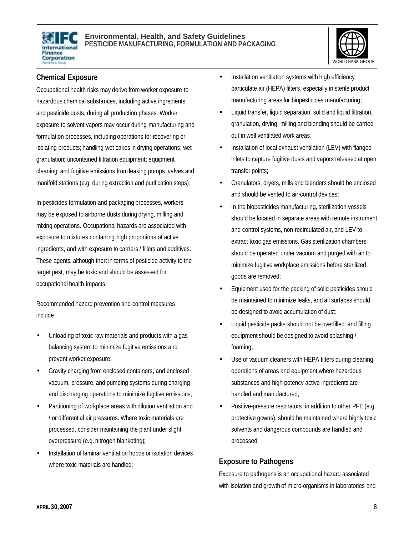



# **Chemical Exposure**

Occupational health risks may derive from worker exposure to hazardous chemical substances, including active ingredients and pesticide dusts, during all production phases. Worker exposure to solvent vapors may occur during manufacturing and formulation processes, including operations for recovering or isolating products; handling wet cakes in drying operations; wet granulation; uncontained filtration equipment; equipment cleaning; and fugitive emissions from leaking pumps, valves and manifold stations (e.g. during extraction and purification steps).

In pesticides formulation and packaging processes, workers may be exposed to airborne dusts during drying, milling and mixing operations. Occupational hazards are associated with exposure to mixtures containing high proportions of active ingredients, and with exposure to carriers / fillers and additives. These agents, although inert in terms of pesticide activity to the target pest, may be toxic and should be assessed for occupational health impacts.

Recommended hazard prevention and control measures include:

- Unloading of toxic raw materials and products with a gas balancing system to minimize fugitive emissions and prevent worker exposure;
- Gravity charging from enclosed containers, and enclosed vacuum, pressure, and pumping systems during charging and discharging operations to minimize fugitive emissions;
- Partitioning of workplace areas with dilution ventilation and / or differential air pressures. Where toxic materials are processed, consider maintaining the plant under slight overpressure (e.g. nitrogen blanketing);
- Installation of laminar ventilation hoods or isolation devices where toxic materials are handled;
- Installation ventilation systems with high efficiency particulate air (HEPA) filters, especially in sterile product manufacturing areas for biopesticides manufacturing;
- Liquid transfer, liquid separation, solid and liquid filtration, granulation, drying, milling and blending should be carried out in well ventilated work areas;
- Installation of local exhaust ventilation (LEV) with flanged inlets to capture fugitive dusts and vapors released at open transfer points;
- Granulators, dryers, mills and blenders should be enclosed and should be vented to air-control devices;
- In the biopesticides manufacturing, sterilization vessels should be located in separate areas with remote instrument and control systems, non-recirculated air, and LEV to extract toxic gas emissions. Gas sterilization chambers should be operated under vacuum and purged with air to minimize fugitive workplace emissions before sterilized goods are removed;
- Equipment used for the packing of solid pesticides should be maintained to minimize leaks, and all surfaces should be designed to avoid accumulation of dust;
- Liquid pesticide packs should not be overfilled, and filling equipment should be designed to avoid splashing / foaming;
- Use of vacuum cleaners with HEPA filters during cleaning operations of areas and equipment where hazardous substances and high-potency active ingredients are handled and manufactured;
- Positive-pressure respirators, in addition to other PPE (e.g. protective gowns), should be maintained where highly toxic solvents and dangerous compounds are handled and processed.

### **Exposure to Pathogens**

Exposure to pathogens is an occupational hazard associated with isolation and growth of micro-organisms in laboratories and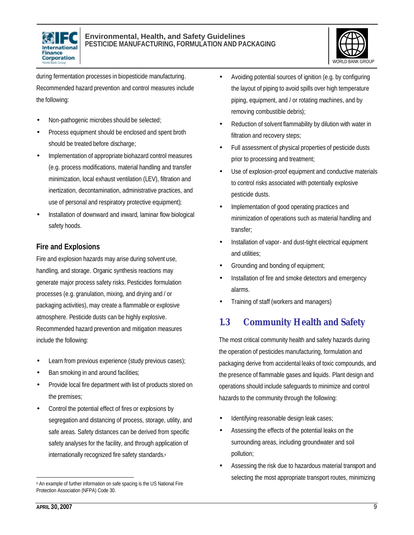



during fermentation processes in biopesticide manufacturing. Recommended hazard prevention and control measures include the following:

- Non-pathogenic microbes should be selected;
- Process equipment should be enclosed and spent broth should be treated before discharge;
- Implementation of appropriate biohazard control measures (e.g. process modifications, material handling and transfer minimization, local exhaust ventilation (LEV), filtration and inertization, decontamination, administrative practices, and use of personal and respiratory protective equipment);
- Installation of downward and inward, laminar flow biological safety hoods.

# **Fire and Explosions**

Fire and explosion hazards may arise during solvent use, handling, and storage. Organic synthesis reactions may generate major process safety risks. Pesticides formulation processes (e.g. granulation, mixing, and drying and / or packaging activities), may create a flammable or explosive atmosphere. Pesticide dusts can be highly explosive. Recommended hazard prevention and mitigation measures include the following:

- Learn from previous experience (study previous cases);
- Ban smoking in and around facilities;
- Provide local fire department with list of products stored on the premises;
- Control the potential effect of fires or explosions by segregation and distancing of process, storage, utility, and safe areas. Safety distances can be derived from specific safety analyses for the facility, and through application of internationally recognized fire safety standards.<sup>9</sup>
- Avoiding potential sources of ignition (e.g. by configuring the layout of piping to avoid spills over high temperature piping, equipment, and / or rotating machines, and by removing combustible debris);
- Reduction of solvent flammability by dilution with water in filtration and recovery steps;
- Full assessment of physical properties of pesticide dusts prior to processing and treatment;
- Use of explosion-proof equipment and conductive materials to control risks associated with potentially explosive pesticide dusts.
- Implementation of good operating practices and minimization of operations such as material handling and transfer;
- Installation of vapor- and dust-tight electrical equipment and utilities;
- Grounding and bonding of equipment;
- Installation of fire and smoke detectors and emergency alarms.
- Training of staff (workers and managers)

# **1.3 Community Health and Safety**

The most critical community health and safety hazards during the operation of pesticides manufacturing, formulation and packaging derive from accidental leaks of toxic compounds, and the presence of flammable gases and liquids. Plant design and operations should include safeguards to minimize and control hazards to the community through the following:

- Identifying reasonable design leak cases;
- Assessing the effects of the potential leaks on the surrounding areas, including groundwater and soil pollution;
- Assessing the risk due to hazardous material transport and selecting the most appropriate transport routes, minimizing

 $\overline{a}$ 9 An example of further information on safe spacing is the US National Fire Protection Association (NFPA) Code 30.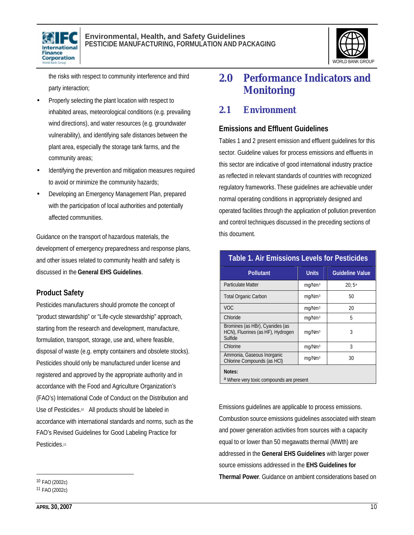



the risks with respect to community interference and third party interaction;

- Properly selecting the plant location with respect to inhabited areas, meteorological conditions (e.g. prevailing wind directions), and water resources (e.g. groundwater vulnerability), and identifying safe distances between the plant area, especially the storage tank farms, and the community areas;
- Identifying the prevention and mitigation measures required to avoid or minimize the community hazards;
- Developing an Emergency Management Plan, prepared with the participation of local authorities and potentially affected communities.

Guidance on the transport of hazardous materials, the development of emergency preparedness and response plans, and other issues related to community health and safety is discussed in the **General EHS Guidelines**.

# **Product Safety**

Pesticides manufacturers should promote the concept of "product stewardship" or "Life-cycle stewardship" approach, starting from the research and development, manufacture, formulation, transport, storage, use and, where feasible, disposal of waste (e.g. empty containers and obsolete stocks). Pesticides should only be manufactured under license and registered and approved by the appropriate authority and in accordance with the Food and Agriculture Organization's (FAO's) International Code of Conduct on the Distribution and Use of Pesticides.<sup>10</sup> All products should be labeled in accordance with international standards and norms, such as the FAO's Revised Guidelines for Good Labeling Practice for Pesticides.<sup>11</sup>

# **2.0 Performance Indicators and Monitoring**

# **2.1 Environment**

### **Emissions and Effluent Guidelines**

Tables 1 and 2 present emission and effluent guidelines for this sector. Guideline values for process emissions and effluents in this sector are indicative of good international industry practice as reflected in relevant standards of countries with recognized regulatory frameworks. These guidelines are achievable under normal operating conditions in appropriately designed and operated facilities through the application of pollution prevention and control techniques discussed in the preceding sections of this document.

| <b>Table 1. Air Emissions Levels for Pesticides</b>                             |                    |                        |  |
|---------------------------------------------------------------------------------|--------------------|------------------------|--|
| <b>Pollutant</b>                                                                | <b>Units</b>       | <b>Guideline Value</b> |  |
| <b>Particulate Matter</b>                                                       | mg/Nm <sup>3</sup> | $20:5^{\circ}$         |  |
| <b>Total Organic Carbon</b>                                                     | mq/Nm <sup>3</sup> | 50                     |  |
| <b>VOC</b>                                                                      | mg/Nm <sup>3</sup> | 20                     |  |
| Chloride                                                                        | mg/Nm <sup>3</sup> | 5                      |  |
| Bromines (as HBr), Cyanides (as<br>HCN), Fluorines (as HF), Hydrogen<br>Sulfide | mg/Nm <sup>3</sup> | 3                      |  |
| Chlorine                                                                        | mq/Nm <sup>3</sup> | 3                      |  |
| Ammonia, Gaseous Inorganic<br>Chlorine Compounds (as HCI)                       | mg/Nm <sup>3</sup> | 30                     |  |
| Notes:<br>a Where very toxic compounds are present                              |                    |                        |  |

Emissions guidelines are applicable to process emissions. Combustion source emissions guidelines associated with steam and power generation activities from sources with a capacity equal to or lower than 50 megawatts thermal (MWth) are addressed in the **General EHS Guidelines** with larger power source emissions addressed in the **EHS Guidelines for Thermal Power**. Guidance on ambient considerations based on

 $\overline{a}$ 

<sup>10</sup> FAO (2002c) 11 FAO (2002c)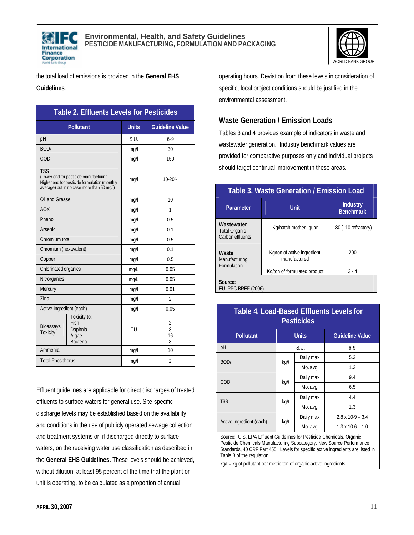



the total load of emissions is provided in the **General EHS** 

#### **Guidelines**.

| <b>Table 2. Effluents Levels for Pesticides</b>                                                                                                      |                                                             |              |                                |
|------------------------------------------------------------------------------------------------------------------------------------------------------|-------------------------------------------------------------|--------------|--------------------------------|
|                                                                                                                                                      | <b>Pollutant</b>                                            | <b>Units</b> | <b>Guideline Value</b>         |
| pH                                                                                                                                                   |                                                             | S.U.         | $6-9$                          |
| BOD <sub>5</sub>                                                                                                                                     |                                                             | mq/l         | 30                             |
| COD                                                                                                                                                  |                                                             | mg/l         | 150                            |
| <b>TSS</b><br>(Lower end for pesticide manufacturing.<br>Higher end for pesticide formulation (monthly<br>average) but in no case more than 50 mg/l) |                                                             | mq/1         | $10-20^{(1)}$                  |
| Oil and Grease                                                                                                                                       |                                                             | mq/l         | 10                             |
| <b>AOX</b>                                                                                                                                           |                                                             | mq/l         | 1                              |
| Phenol                                                                                                                                               |                                                             | mq/l         | 0.5                            |
| <b>Arsenic</b>                                                                                                                                       |                                                             | mq/l         | 0.1                            |
| Chromium total                                                                                                                                       |                                                             | mq/l         | 0.5                            |
| Chromium (hexavalent)                                                                                                                                |                                                             | mq/l         | 0.1                            |
| Copper                                                                                                                                               |                                                             | mq/l         | 0.5                            |
| Chlorinated organics                                                                                                                                 |                                                             | mg/L         | 0.05                           |
| Nitrorganics                                                                                                                                         |                                                             | mq/L         | 0.05                           |
| Mercury                                                                                                                                              |                                                             | mq/l         | 0.01                           |
| 7inc                                                                                                                                                 |                                                             | mq/l         | $\mathfrak{D}$                 |
| Active Ingredient (each)                                                                                                                             |                                                             | mg/l         | 0.05                           |
| Bioassays<br><b>Toxicity</b>                                                                                                                         | Toxicity to:<br>Fish<br>Daphnia<br>Algae<br><b>Bacteria</b> | TU           | $\overline{2}$<br>8<br>16<br>8 |
| Ammonia                                                                                                                                              |                                                             | mg/l         | 10                             |
| <b>Total Phosphorus</b>                                                                                                                              |                                                             | mq/1         | $\overline{2}$                 |

Effluent guidelines are applicable for direct discharges of treated effluents to surface waters for general use. Site-specific discharge levels may be established based on the availability and conditions in the use of publicly operated sewage collection and treatment systems or, if discharged directly to surface waters, on the receiving water use classification as described in the **General EHS Guidelines.** These levels should be achieved, without dilution, at least 95 percent of the time that the plant or unit is operating, to be calculated as a proportion of annual

operating hours. Deviation from these levels in consideration of specific, local project conditions should be justified in the environmental assessment.

# **Waste Generation / Emission Loads**

Tables 3 and 4 provides example of indicators in waste and wastewater generation. Industry benchmark values are provided for comparative purposes only and individual projects should target continual improvement in these areas.

### **Table 3. Waste Generation / Emission Load**

| Parameter                                              | <b>Unit</b>                                 | <b>Industry</b><br><b>Benchmark</b> |
|--------------------------------------------------------|---------------------------------------------|-------------------------------------|
| Wastewater<br><b>Total Organic</b><br>Carbon effluents | Kg/batch mother liquor                      | 180 (110 refractory)                |
| Waste<br>Manufacturing<br>Formulation                  | Kg/ton of active ingredient<br>manufactured | 200                                 |
| Source:<br>EU IPPC BREF (2006)                         | Kg/ton of formulated product                | $3 - 4$                             |

| Table 4. Load-Based Effluents Levels for<br>Pesticides |  |
|--------------------------------------------------------|--|

| <b>Pollutant</b>         | <b>Units</b> |           | <b>Guideline Value</b>    |
|--------------------------|--------------|-----------|---------------------------|
| pH                       | S.U.         |           | $6-9$                     |
| BOD <sub>5</sub>         | kg/t         | Daily max | 5.3                       |
|                          |              | Mo. avg   | 1.2                       |
| COD                      | kg/t         | Daily max | 9.4                       |
|                          |              | Mo. avg   | 6.5                       |
| <b>TSS</b>               | kg/t         | Daily max | 4.4                       |
|                          |              | Mo. avg   | 1.3                       |
| Active Ingredient (each) | kg/t         | Daily max | $2.8 \times 10 - 9 - 3.4$ |
|                          |              | Mo. avg   | $1.3 \times 10.6 - 1.0$   |

Source: U.S. EPA Effluent Guidelines for Pesticide Chemicals, Organic Pesticide Chemicals Manufacturing Subcategory, New Source Performance Standards, 40 CRF Part 455. Levels for specific active ingredients are listed in Table 3 of the regulation.

kg/t = kg of pollutant per metric ton of organic active ingredients.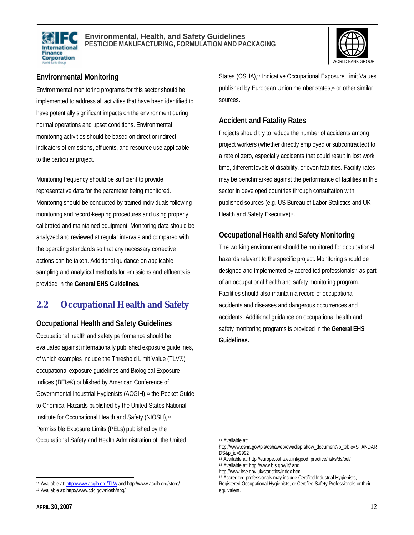



# **Environmental Monitoring**

Environmental monitoring programs for this sector should be implemented to address all activities that have been identified to have potentially significant impacts on the environment during normal operations and upset conditions. Environmental monitoring activities should be based on direct or indirect indicators of emissions, effluents, and resource use applicable to the particular project.

Monitoring frequency should be sufficient to provide representative data for the parameter being monitored. Monitoring should be conducted by trained individuals following monitoring and record-keeping procedures and using properly calibrated and maintained equipment. Monitoring data should be analyzed and reviewed at regular intervals and compared with the operating standards so that any necessary corrective actions can be taken. Additional guidance on applicable sampling and analytical methods for emissions and effluents is provided in the **General EHS Guidelines**.

# **2.2 Occupational Health and Safety**

### **Occupational Health and Safety Guidelines**

Occupational health and safety performance should be evaluated against internationally published exposure guidelines, of which examples include the Threshold Limit Value (TLV®) occupational exposure guidelines and Biological Exposure Indices (BEIs®) published by American Conference of Governmental Industrial Hygienists (ACGIH),<sup>12</sup> the Pocket Guide to Chemical Hazards published by the United States National Institute for Occupational Health and Safety (NIOSH),<sup>13</sup> Permissible Exposure Limits (PELs) published by the Occupational Safety and Health Administration of the United

 $\overline{a}$ <sup>12</sup> Available at: http://www.acgih.org/TLV/ and http://www.acgih.org/store/ States (OSHA),<sup>14</sup> Indicative Occupational Exposure Limit Values published by European Union member states,<sup>15</sup> or other similar sources.

### **Accident and Fatality Rates**

Projects should try to reduce the number of accidents among project workers (whether directly employed or subcontracted) to a rate of zero, especially accidents that could result in lost work time, different levels of disability, or even fatalities. Facility rates may be benchmarked against the performance of facilities in this sector in developed countries through consultation with published sources (e.g. US Bureau of Labor Statistics and UK Health and Safety Executive)<sup>16</sup>.

### **Occupational Health and Safety Monitoring**

The working environment should be monitored for occupational hazards relevant to the specific project. Monitoring should be designed and implemented by accredited professionals<sup>17</sup> as part of an occupational health and safety monitoring program. Facilities should also maintain a record of occupational accidents and diseases and dangerous occurrences and accidents. Additional guidance on occupational health and safety monitoring programs is provided in the **General EHS Guidelines.**

 $\overline{a}$ 

<sup>13</sup> Available at: http://www.cdc.gov/niosh/npg/

<sup>14</sup> Available at:

http://www.osha.gov/pls/oshaweb/owadisp.show\_document?p\_table=STANDAR DS&p\_id=9992

<sup>15</sup> Available at: http://europe.osha.eu.int/good\_practice/risks/ds/oel/

<sup>16</sup> Available at: http://www.bls.gov/iif/ and

http://www.hse.gov.uk/statistics/index.htm

<sup>&</sup>lt;sup>17</sup> Accredited professionals may include Certified Industrial Hygienists,

Registered Occupational Hygienists, or Certified Safety Professionals or their equivalent.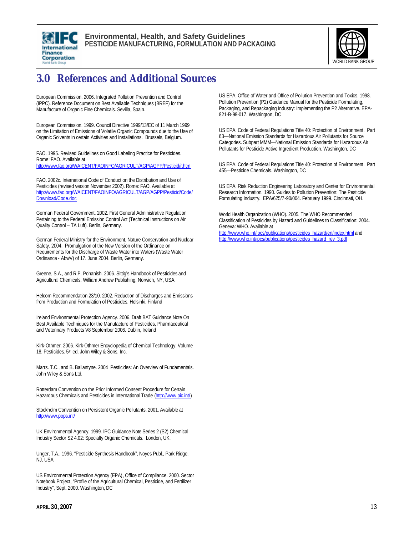



# **3.0 References and Additional Sources**

European Commission. 2006. Integrated Pollution Prevention and Control (IPPC). Reference Document on Best Available Techniques (BREF) for the Manufacture of Organic Fine Chemicals. Sevilla, Spain.

European Commission. 1999. Council Directive 1999/13/EC of 11 March 1999 on the Limitation of Emissions of Volatile Organic Compounds due to the Use of Organic Solvents in certain Activities and Installations. Brussels, Belgium.

FAO. 1995. Revised Guidelines on Good Labeling Practice for Pesticides. Rome: FAO. Available at http://www.fao.org/WAICENT/FAOINFO/AGRICULT/AGP/AGPP/Pesticid/r.htm

FAO. 2002c. International Code of Conduct on the Distribution and Use of Pesticides (revised version November 2002). Rome: FAO. Available at http://www.fao.org/WAICENT/FAOINFO/AGRICULT/AGP/AGPP/Pesticid/Code/ Download/Code.doc

German Federal Government. 2002. First General Administrative Regulation Pertaining to the Federal Emission Control Act (Technical Instructions on Air Quality Control – TA Luft). Berlin, Germany.

German Federal Ministry for the Environment, Nature Conservation and Nuclear Safety. 2004. Promulgation of the New Version of the Ordinance on Requirements for the Discharge of Waste Water into Waters (Waste Water Ordinance - AbwV) of 17. June 2004. Berlin, Germany.

Greene, S.A., and R.P. Pohanish. 2006. Sittig's Handbook of Pesticides and Agricultural Chemicals. William Andrew Publishing, Norwich, NY, USA.

Helcom Recommendation 23/10. 2002. Reduction of Discharges and Emissions from Production and Formulation of Pesticides. Helsinki, Finland

Ireland Environmental Protection Agency. 2006. Draft BAT Guidance Note On Best Available Techniques for the Manufacture of Pesticides, Pharmaceutical and Veterinary Products V8 September 2006. Dublin, Ireland

Kirk-Othmer. 2006. Kirk-Othmer Encyclopedia of Chemical Technology. Volume 18. Pesticides. 5<sup>th</sup> ed. John Wiley & Sons, Inc.

Marrs. T.C., and B. Ballantyne. 2004 Pesticides: An Overview of Fundamentals. John Wiley & Sons Ltd.

Rotterdam Convention on the Prior Informed Consent Procedure for Certain Hazardous Chemicals and Pesticides in International Trade (http://www.pic.int/)

Stockholm Convention on Persistent Organic Pollutants. 2001. Available at http://www.pops.int/

UK Environmental Agency. 1999. IPC Guidance Note Series 2 (S2) Chemical Industry Sector S2 4.02: Specialty Organic Chemicals. London, UK.

Unger, T.A.. 1996. "Pesticide Synthesis Handbook", Noyes Publ., Park Ridge, NJ, USA

US Environmental Protection Agency (EPA), Office of Compliance. 2000. Sector Notebook Project, "Profile of the Agricultural Chemical, Pesticide, and Fertilizer Industry", Sept. 2000. Washington, DC

US EPA. Office of Water and Office of Pollution Prevention and Toxics. 1998. Pollution Prevention (P2) Guidance Manual for the Pesticide Formulating, Packaging, and Repackaging Industry: Implementing the P2 Alternative. EPA-821-B-98-017. Washington, DC

US EPA. Code of Federal Regulations Title 40: Protection of Environment. Part 63—National Emission Standards for Hazardous Air Pollutants for Source Categories. Subpart MMM—National Emission Standards for Hazardous Air Pollutants for Pesticide Active Ingredient Production. Washington, DC

US EPA. Code of Federal Regulations Title 40: Protection of Environment. Part 455—Pesticide Chemicals. Washington, DC

US EPA. Risk Reduction Engineering Laboratory and Center for Environmental Research Information. 1990. Guides to Pollution Prevention: The Pesticide Formulating Industry. EPA/625/7-90/004. February 1999. Cincinnati, OH.

World Health Organization (WHO). 2005. The WHO Recommended Classification of Pesticides by Hazard and Guidelines to Classification: 2004. Geneva: WHO. Available at

http://www.who.int/ipcs/publications/pesticides\_hazard/en/index.html and http://www.who.int/ipcs/publications/pesticides\_hazard\_rev\_3.pdf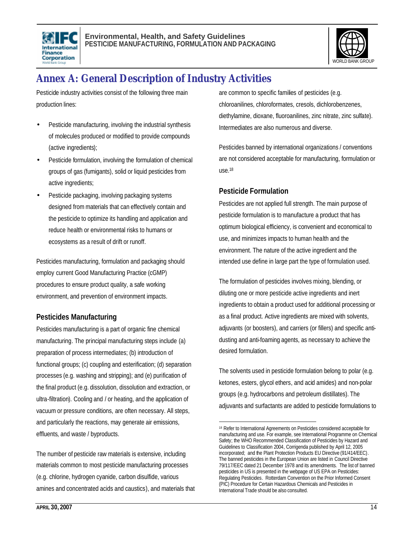



# **Annex A: General Description of Industry Activities**

Pesticide industry activities consist of the following three main production lines:

- Pesticide manufacturing, involving the industrial synthesis of molecules produced or modified to provide compounds (active ingredients);
- Pesticide formulation, involving the formulation of chemical groups of gas (fumigants), solid or liquid pesticides from active ingredients;
- Pesticide packaging, involving packaging systems designed from materials that can effectively contain and the pesticide to optimize its handling and application and reduce health or environmental risks to humans or ecosystems as a result of drift or runoff.

Pesticides manufacturing, formulation and packaging should employ current Good Manufacturing Practice (cGMP) procedures to ensure product quality, a safe working environment, and prevention of environment impacts.

# **Pesticides Manufacturing**

Pesticides manufacturing is a part of organic fine chemical manufacturing. The principal manufacturing steps include (a) preparation of process intermediates; (b) introduction of functional groups; (c) coupling and esterification; (d) separation processes (e.g. washing and stripping); and (e) purification of the final product (e.g. dissolution, dissolution and extraction, or ultra-filtration). Cooling and / or heating, and the application of vacuum or pressure conditions, are often necessary. All steps, and particularly the reactions, may generate air emissions, effluents, and waste / byproducts.

The number of pesticide raw materials is extensive, including materials common to most pesticide manufacturing processes (e.g. chlorine, hydrogen cyanide, carbon disulfide, various amines and concentrated acids and caustics), and materials that are common to specific families of pesticides (e.g. chloroanilines, chloroformates, cresols, dichlorobenzenes, diethylamine, dioxane, fluoroanilines, zinc nitrate, zinc sulfate). Intermediates are also numerous and diverse.

Pesticides banned by international organizations / conventions are not considered acceptable for manufacturing, formulation or use.<sup>18</sup>

# **Pesticide Formulation**

Pesticides are not applied full strength. The main purpose of pesticide formulation is to manufacture a product that has optimum biological efficiency, is convenient and economical to use, and minimizes impacts to human health and the environment. The nature of the active ingredient and the intended use define in large part the type of formulation used.

The formulation of pesticides involves mixing, blending, or diluting one or more pesticide active ingredients and inert ingredients to obtain a product used for additional processing or as a final product. Active ingredients are mixed with solvents, adjuvants (or boosters), and carriers (or fillers) and specific antidusting and anti-foaming agents, as necessary to achieve the desired formulation.

The solvents used in pesticide formulation belong to polar (e.g. ketones, esters, glycol ethers, and acid amides) and non-polar groups (e.g. hydrocarbons and petroleum distillates). The adjuvants and surfactants are added to pesticide formulations to

l <sup>18</sup> Refer to International Agreements on Pesticides considered acceptable for manufacturing and use. For example, see International Programme on Chemical Safety; the WHO Recommended Classification of Pesticides by Hazard and Guidelines to Classification 2004, Corrigenda published by April 12, 2005 incorporated; and the Plant Protection Products EU Directive (91/414/EEC). The banned pesticides in the European Union are listed in Council Directive 79/117/EEC dated 21 December 1978 and its amendments. The list of banned pesticides in US is presented in the webpage of US EPA on Pesticides: Regulating Pesticides. Rotterdam Convention on the Prior Informed Consent (PIC) Procedure for Certain Hazardous Chemicals and Pesticides in International Trade should be also consulted.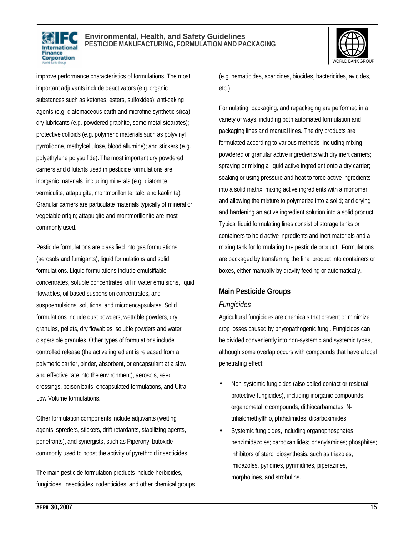



improve performance characteristics of formulations. The most important adjuvants include deactivators (e.g. organic substances such as ketones, esters, sulfoxides); anti-caking agents (e.g. diatomaceous earth and microfine synthetic silica); dry lubricants (e.g. powdered graphite, some metal stearates); protective colloids (e.g. polymeric materials such as polyvinyl pyrrolidone, methylcellulose, blood allumine); and stickers (e.g. polyethylene polysulfide). The most important dry powdered carriers and dilutants used in pesticide formulations are inorganic materials, including minerals (e.g. diatomite, vermiculite, attapulgite, montmorillonite, talc, and kaolinite). Granular carriers are particulate materials typically of mineral or vegetable origin; attapulgite and montmorillonite are most commonly used.

Pesticide formulations are classified into gas formulations (aerosols and fumigants), liquid formulations and solid formulations. Liquid formulations include emulsifiable concentrates, soluble concentrates, oil in water emulsions, liquid flowables, oil-based suspension concentrates, and suspoemulsions, solutions, and microencapsulates. Solid formulations include dust powders, wettable powders, dry granules, pellets, dry flowables, soluble powders and water dispersible granules. Other types of formulations include controlled release (the active ingredient is released from a polymeric carrier, binder, absorbent, or encapsulant at a slow and effective rate into the environment), aerosols, seed dressings, poison baits, encapsulated formulations, and Ultra Low Volume formulations.

Other formulation components include adjuvants (wetting agents, spreders, stickers, drift retardants, stabilizing agents, penetrants), and synergists, such as Piperonyl butoxide commonly used to boost the activity of pyrethroid insecticides

The main pesticide formulation products include herbicides, fungicides, insecticides, rodenticides, and other chemical groups (e.g. nematicides, acaricides, biocides, bactericides, avicides, etc.).

Formulating, packaging, and repackaging are performed in a variety of ways, including both automated formulation and packaging lines and manual lines. The dry products are formulated according to various methods, including mixing powdered or granular active ingredients with dry inert carriers; spraying or mixing a liquid active ingredient onto a dry carrier; soaking or using pressure and heat to force active ingredients into a solid matrix; mixing active ingredients with a monomer and allowing the mixture to polymerize into a solid; and drying and hardening an active ingredient solution into a solid product. Typical liquid formulating lines consist of storage tanks or containers to hold active ingredients and inert materials and a mixing tank for formulating the pesticide product . Formulations are packaged by transferring the final product into containers or boxes, either manually by gravity feeding or automatically.

# **Main Pesticide Groups**

### *Fungicides*

Agricultural fungicides are chemicals that prevent or minimize crop losses caused by phytopathogenic fungi. Fungicides can be divided conveniently into non-systemic and systemic types, although some overlap occurs with compounds that have a local penetrating effect:

- Non-systemic fungicides (also called contact or residual protective fungicides), including inorganic compounds, organometallic compounds, dithiocarbamates; Ntrihalomethylthio, phthalimides; dicarboximides.
- Systemic fungicides, including organophosphates; benzimidazoles; carboxanilides; phenylamides; phosphites; inhibitors of sterol biosynthesis, such as triazoles, imidazoles, pyridines, pyrimidines, piperazines, morpholines, and strobulins.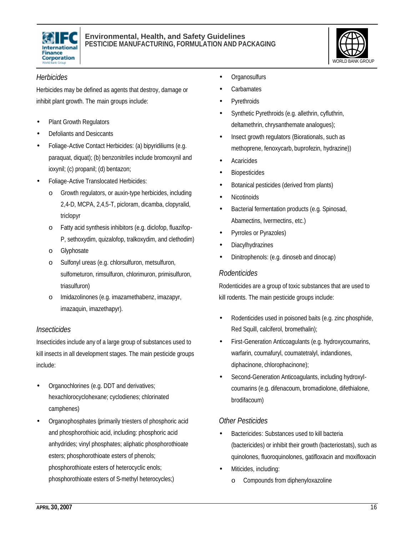



#### *Herbicides*

Herbicides may be defined as agents that destroy, damage or inhibit plant growth. The main groups include:

- Plant Growth Regulators
- Defoliants and Desiccants
- Foliage-Active Contact Herbicides: (a) bipyridiliums (e.g. paraquat, diquat); (b) benzonitriles include bromoxynil and ioxynil; (c) propanil; (d) bentazon;
- Foliage-Active Translocated Herbicides:
	- o Growth regulators, or auxin-type herbicides, including 2,4-D, MCPA, 2,4,5-T, picloram, dicamba, clopyralid, triclopyr
	- o Fatty acid synthesis inhibitors (e.g. diclofop, fluazifop-P, sethoxydim, quizalofop, tralkoxydim, and clethodim)
	- o Glyphosate
	- o Sulfonyl ureas (e.g. chlorsulfuron, metsulfuron, sulfometuron, rimsulfuron, chlorimuron, primisulfuron, triasulfuron)
	- o Imidazolinones (e.g. imazamethabenz, imazapyr, imazaquin, imazethapyr).

### *Insecticides*

Insecticides include any of a large group of substances used to kill insects in all development stages. The main pesticide groups include:

- Organochlorines (e.g. DDT and derivatives; hexachlorocyclohexane; cyclodienes; chlorinated camphenes)
- Organophosphates (primarily triesters of phosphoric acid and phosphorothioic acid, including: phosphoric acid anhydrides; vinyl phosphates; aliphatic phosphorothioate esters; phosphorothioate esters of phenols; phosphorothioate esters of heterocyclic enols; phosphorothioate esters of S-methyl heterocycles;)
- Organosulfurs
- **Carbamates**
- Pyrethroids
- Synthetic Pyrethroids (e.g. allethrin, cyfluthrin, deltamethrin, chrysanthemate analogues);
- Insect growth regulators (Biorationals, such as methoprene, fenoxycarb, buprofezin, hydrazine))
- **Acaricides**
- **Biopesticides**
- Botanical pesticides (derived from plants)
- **Nicotinoids**
- Bacterial fermentation products (e.g. Spinosad, Abamectins, Ivermectins, etc.)
- Pyrroles or Pyrazoles)
- **Diacylhydrazines**
- Dinitrophenols: (e.g. dinoseb and dinocap)

### *Rodenticides*

Rodenticides are a group of toxic substances that are used to kill rodents. The main pesticide groups include:

- Rodenticides used in poisoned baits (e.g. zinc phosphide, Red Squill, calciferol, bromethalin);
- First-Generation Anticoagulants (e.g. hydroxycoumarins, warfarin, coumafuryl, coumatetralyl, indandiones, diphacinone, chlorophacinone);
- Second-Generation Anticoagulants, including hydroxylcoumarins (e.g. difenacoum, bromadiolone, difethialone, brodifacoum)

# *Other Pesticides*

- Bactericides: Substances used to kill bacteria (bactericides) or inhibit their growth (bacteriostats), such as quinolones, fluoroquinolones, gatifloxacin and moxifloxacin
- Miticides, including:
	- o Compounds from diphenyloxazoline